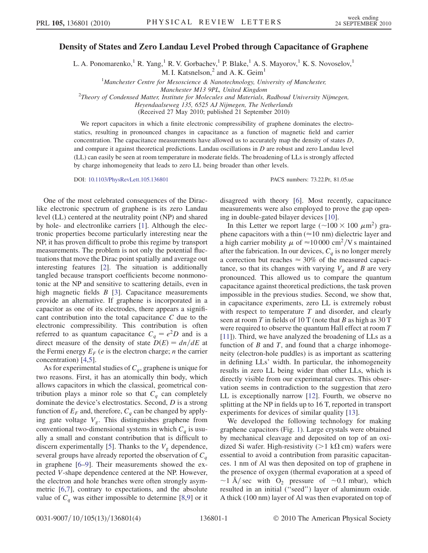## Density of States and Zero Landau Level Probed through Capacitance of Graphene

L. A. Ponomarenko,<sup>1</sup> R. Yang,<sup>1</sup> R. V. Gorbachev,<sup>1</sup> P. Blake,<sup>1</sup> A. S. Mayorov,<sup>1</sup> K. S. Novoselov,<sup>1</sup> M. I. Katsnelson, $<sup>2</sup>$  and A. K. Geim<sup>1</sup></sup>

<sup>1</sup>Manchester Centre for Mesoscience & Nanotechnology, University of Manchester,

Manchester M13 9PL, United Kingdom<br><sup>2</sup>Theory of Condensed Matter, Institute for Molecules and Materials, Radboud University Nijmegen,

Heyendaalseweg 135, 6525 AJ Nijmegen, The Netherlands

(Received 27 May 2010; published 21 September 2010)

We report capacitors in which a finite electronic compressibility of graphene dominates the electrostatics, resulting in pronounced changes in capacitance as a function of magnetic field and carrier concentration. The capacitance measurements have allowed us to accurately map the density of states D, and compare it against theoretical predictions. Landau oscillations in  $D$  are robust and zero Landau level (LL) can easily be seen at room temperature in moderate fields. The broadening of LLs is strongly affected by charge inhomogeneity that leads to zero LL being broader than other levels.

DOI: [10.1103/PhysRevLett.105.136801](http://dx.doi.org/10.1103/PhysRevLett.105.136801) PACS numbers: 73.22.Pr, 81.05.ue

One of the most celebrated consequences of the Diraclike electronic spectrum of graphene is its zero Landau level (LL) centered at the neutrality point (NP) and shared by hole- and electronlike carriers [[1](#page-3-0)]. Although the electronic properties become particularly interesting near the NP, it has proven difficult to probe this regime by transport measurements. The problem is not only the potential fluctuations that move the Dirac point spatially and average out interesting features [\[2\]](#page-3-1). The situation is additionally tangled because transport coefficients become nonmonotonic at the NP and sensitive to scattering details, even in high magnetic fields  $B$  [[3\]](#page-3-2). Capacitance measurements provide an alternative. If graphene is incorporated in a capacitor as one of its electrodes, there appears a significant contribution into the total capacitance C due to the electronic compressibility. This contribution is often referred to as quantum capacitance  $C_q = e^2D$  and is a direct measure of the density of state  $D(E) = dn/dE$  at the Fermi energy  $E_F$  (*e* is the electron charge; *n* the carrier concentration) [\[4](#page-3-3),[5](#page-3-4)].

As for experimental studies of  $C_q$ , graphene is unique for two reasons. First, it has an atomically thin body, which allows capacitors in which the classical, geometrical contribution plays a minor role so that  $C_q$  can completely dominate the device's electrostatics. Second, D is a strong function of  $E_F$  and, therefore,  $C_a$  can be changed by applying gate voltage  $V<sub>g</sub>$ . This distinguishes graphene from conventional two-dimensional systems in which  $C_q$  is usually a small and constant contribution that is difficult to discern experimentally [[5](#page-3-4)]. Thanks to the  $V<sub>g</sub>$  dependence, several groups have already reported the observation of  $C_q$ in graphene [\[6–](#page-3-5)[9](#page-3-6)]. Their measurements showed the expected V-shape dependence centered at the NP. However, the electron and hole branches were often strongly asymmetric [\[6](#page-3-5)[,7](#page-3-7)], contrary to expectations, and the absolute value of  $C_q$  was either impossible to determine [[8](#page-3-8)[,9\]](#page-3-6) or it disagreed with theory [\[6](#page-3-5)]. Most recently, capacitance measurements were also employed to prove the gap opening in double-gated bilayer devices [[10](#page-3-9)].

In this Letter we report large ( $\sim$ 100  $\times$  100  $\mu$ m<sup>2</sup>) graphene capacitors with a thin ( $\approx$ 10 nm) dielectric layer and a high carrier mobility  $\mu$  of  $\approx 10000 \text{ cm}^2/\text{V s}$  maintained after the fabrication. In our devices,  $C_q$  is no longer merely a correction but reaches  $\approx 30\%$  of the measured capacitance, so that its changes with varying  $V_g$  and B are very pronounced. This allowed us to compare the quantum capacitance against theoretical predictions, the task proven impossible in the previous studies. Second, we show that, in capacitance experiments, zero LL is extremely robust with respect to temperature  $T$  and disorder, and clearly seen at room  $T$  in fields of 10 T (note that  $B$  as high as 30 T were required to observe the quantum Hall effect at room T [\[11\]](#page-3-10)). Third, we have analyzed the broadening of LLs as a function of  $B$  and  $T$ , and found that a charge inhomogeneity (electron-hole puddles) is as important as scattering in defining LLs' width. In particular, the inhomogeneity results in zero LL being wider than other LLs, which is directly visible from our experimental curves. This observation seems in contradiction to the suggestion that zero LL is exceptionally narrow [\[12\]](#page-3-11). Fourth, we observe no splitting at the NP in fields up to 16 T, reported in transport experiments for devices of similar quality [\[13\]](#page-3-12).

We developed the following technology for making graphene capacitors (Fig. [1\)](#page-1-0). Large crystals were obtained by mechanical cleavage and deposited on top of an oxidized Si wafer. High-resistivity ( $>1$  k $\Omega$  cm) wafers were essential to avoid a contribution from parasitic capacitances. 1 nm of Al was then deposited on top of graphene in the presence of oxygen (thermal evaporation at a speed of  $\sim$ 1 Å/sec with O<sub>2</sub> pressure of  $\sim$ 0.1 mbar), which resulted in an initial (''seed'') layer of aluminum oxide. A thick (100 nm) layer of Al was then evaporated on top of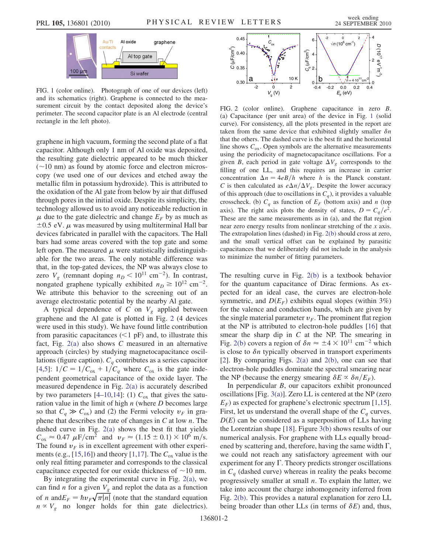<span id="page-1-0"></span>

FIG. 1 (color online). Photograph of one of our devices (left) and its schematics (right). Graphene is connected to the measurement circuit by the contact deposited along the device's perimeter. The second capacitor plate is an Al electrode (central rectangle in the left photo).

graphene in high vacuum, forming the second plate of a flat capacitor. Although only 1 nm of Al oxide was deposited, the resulting gate dielectric appeared to be much thicker  $(\sim 10 \text{ nm})$  as found by atomic force and electron microscopy (we used one of our devices and etched away the metallic film in potassium hydroxide). This is attributed to the oxidation of the Al gate from below by air that diffused through pores in the initial oxide. Despite its simplicity, the technology allowed us to avoid any noticeable reduction in  $\mu$  due to the gate dielectric and change  $E_F$  by as much as  $\pm 0.5$  eV.  $\mu$  was measured by using multiterminal Hall bar devices fabricated in parallel with the capacitors. The Hall bars had some areas covered with the top gate and some left open. The measured  $\mu$  were statistically indistinguishable for the two areas. The only notable difference was that, in the top-gated devices, the NP was always close to zero  $V_g$  (remnant doping  $n_D < 10^{11}$  cm<sup>-2</sup>). In contrast, nongated graphene typically exhibited  $n_D \ge 10^{12}$  cm<sup>-2</sup>. We attribute this behavior to the screening out of an average electrostatic potential by the nearby Al gate.

A typical dependence of C on  $V_g$  applied between graphene and the Al gate is plotted in Fig. [2](#page-1-1) (4 devices were used in this study). We have found little contribution from parasitic capacitances  $(<1$  pF) and, to illustrate this fact, Fig.  $2(a)$  also shows C measured in an alternative approach (circles) by studying magnetocapacitance oscillations (figure caption).  $C_q$  contributes as a series capacitor [\[4,](#page-3-3)[5](#page-3-4)]:  $1/C = 1/C_{ox} + 1/C_q$  where  $C_{ox}$  is the gate independent geometrical capacitance of the oxide layer. The measured dependence in Fig. [2\(a\)](#page-1-2) is accurately described by two parameters [[4](#page-3-3)[–10](#page-3-9)[,14\]](#page-3-13): (1)  $C_{ox}$  that gives the saturation value in the limit of high  $n$  (where  $D$  becomes large so that  $C_q \gg C_{ox}$ ) and (2) the Fermi velocity  $v_F$  in graphene that describes the rate of changes in  $C$  at low  $n$ . The dashed curve in Fig. [2\(a\)](#page-1-2) shows the best fit that yields  $C_{ox} \approx 0.47 \ \mu \text{F/cm}^2 \ \text{and} \ \ v_F \approx (1.15 \pm 0.1) \times 10^6 \ \text{m/s}.$ The found  $v_F$  is in excellent agreement with other experi-ments (e.g., [\[15,](#page-3-14)[16\]](#page-3-15)) and theory [\[1,](#page-3-0)[17\]](#page-3-16). The  $C_{ox}$  value is the only real fitting parameter and corresponds to the classical capacitance expected for our oxide thickness of  $\sim$ 10 nm.

By integrating the experimental curve in Fig. [2\(a\)](#page-1-2), we can find *n* for a given  $V_g$  and replot the data as a function of *n* and  $E_F = \hbar v_F \sqrt{\pi |n|}$  (note that the standard equation  $n \propto V_g$  no longer holds for thin gate dielectrics).

<span id="page-1-1"></span>

<span id="page-1-2"></span>FIG. 2 (color online). Graphene capacitance in zero B. (a) Capacitance (per unit area) of the device in Fig. [1](#page-1-0) (solid curve). For consistency, all the plots presented in the report are taken from the same device that exhibited slightly smaller  $\delta n$ that the others. The dashed curve is the best fit and the horizontal line shows  $C_{\text{ox}}$ . Open symbols are the alternative measurements using the periodicity of magnetocapacitance oscillations. For a given B, each period in gate voltage  $\Delta V_g$  corresponds to the filling of one LL, and this requires an increase in carrier concentration  $\Delta n = 4eB/h$  where h is the Planck constant. C is then calculated as  $e\Delta n/\Delta V_g$ . Despite the lower accuracy of this approach (due to oscillations in  $C_q$ ), it provides a valuable crosscheck. (b)  $C_q$  as function of  $E_F$  (bottom axis) and n (top axis). The right axis plots the density of states,  $D = C_q/e^2$ . These are the same measurements as in (a), and the flat region near zero energy results from nonlinear stretching of the x axis. The extrapolation lines (dashed) in Fig. [2\(b\)](#page-1-2) should cross at zero, and the small vertical offset can be explained by parasitic capacitances that we deliberately did not include in the analysis to minimize the number of fitting parameters.

The resulting curve in Fig. [2\(b\)](#page-1-2) is a textbook behavior for the quantum capacitance of Dirac fermions. As expected for an ideal case, the curves are electron-hole symmetric, and  $D(E_F)$  exhibits equal slopes (within 3%) for the valence and conduction bands, which are given by the single material parameter  $v_F$ . The prominent flat region at the NP is attributed to electron-hole puddles [\[16\]](#page-3-15) that smear the sharp dip in  $C$  at the NP. The smearing in Fig. [2\(b\)](#page-1-2) covers a region of  $\delta n \approx \pm 4 \times 10^{11}$  cm<sup>-2</sup> which is close to  $\delta n$  typically observed in transport experiments [\[2\]](#page-3-1). By comparing Figs.  $2(a)$  and  $2(b)$ , one can see that electron-hole puddles dominate the spectral smearing near the NP (because the energy smearing  $\delta E \propto \delta n/E_F$ ).

In perpendicular B, our capacitors exhibit pronounced oscillations [Fig. [3\(a\)](#page-2-0)]. Zero LL is centered at the NP (zero  $E_F$ ) as expected for graphene's electronic spectrum [[1,](#page-3-0)[15\]](#page-3-14). First, let us understand the overall shape of the  $C_q$  curves.  $D(E)$  can be considered as a superposition of LLs having the Lorentzian shape [\[18\]](#page-3-17). Figure [3\(b\)](#page-2-0) shows results of our numerical analysis. For graphene with LLs equally broadened by scattering and, therefore, having the same width  $\Gamma$ , we could not reach any satisfactory agreement with our experiment for any  $\Gamma$ . Theory predicts stronger oscillations in  $C_q$  (dashed curve) whereas in reality the peaks become progressively smaller at small n. To explain the latter, we take into account the charge inhomogeneity inferred from Fig. [2\(b\)](#page-1-2). This provides a natural explanation for zero LL being broader than other LLs (in terms of  $\delta E$ ) and, thus,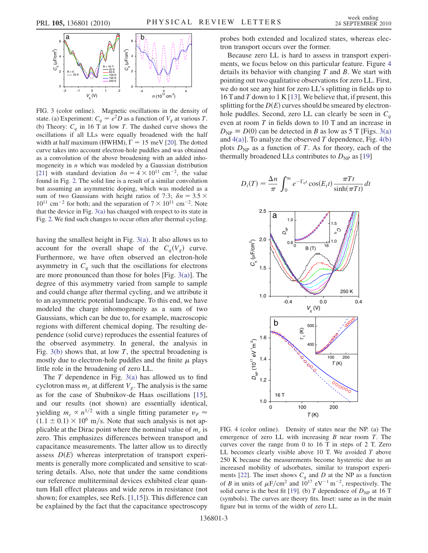<span id="page-2-3"></span>

<span id="page-2-0"></span>FIG. 3 (color online). Magnetic oscillations in the density of state. (a) Experiment:  $C_q = e^2D$  as a function of  $V_g$  at various T. (b) Theory:  $C_q$  in 16 T at low T. The dashed curve shows the oscillations if all LLs were equally broadened with the half width at half maximum (HWHM),  $\Gamma = 15$  meV [\[20\]](#page-3-19). The dotted curve takes into account electron-hole puddles and was obtained as a convolution of the above broadening with an added inhomogeneity in  $n$  which was modeled by a Gaussian distribution [\[21\]](#page-3-20) with standard deviation  $\delta n = 4 \times 10^{11}$  cm<sup>-2</sup>, the value found in Fig. [2.](#page-1-1) The solid line is a result of a similar convolution but assuming an asymmetric doping, which was modeled as a sum of two Gaussians with height ratios of 7:3;  $\delta n = 3.5 \times 11^{11}$  $10^{11}$  cm<sup>-2</sup> for both; and the separation of  $7 \times 10^{11}$  cm<sup>-2</sup>. Note that the device in Fig. [3\(a\)](#page-2-0) has changed with respect to its state in Fig. [2.](#page-1-1) We find such changes to occur often after thermal cycling.

having the smallest height in Fig. [3\(a\)](#page-2-0). It also allows us to account for the overall shape of the  $C_q(V_g)$  curve. Furthermore, we have often observed an electron-hole asymmetry in  $C_q$  such that the oscillations for electrons are more pronounced than those for holes [Fig. [3\(a\)\]](#page-2-0). The degree of this asymmetry varied from sample to sample and could change after thermal cycling, and we attribute it to an asymmetric potential landscape. To this end, we have modeled the charge inhomogeneity as a sum of two Gaussians, which can be due to, for example, macroscopic regions with different chemical doping. The resulting dependence (solid curve) reproduces the essential features of the observed asymmetry. In general, the analysis in Fig.  $3(b)$  shows that, at low T, the spectral broadening is mostly due to electron-hole puddles and the finite  $\mu$  plays little role in the broadening of zero LL.

The  $T$  dependence in Fig. [3\(a\)](#page-2-0) has allowed us to find cyclotron mass  $m_c$  at different  $V_g$ . The analysis is the same as for the case of Shubnikov-de Haas oscillations [\[15\]](#page-3-14), and our results (not shown) are essentially identical, yielding  $m_c \propto n^{1/2}$  with a single fitting parameter  $v_F \approx$  $(1.1 \pm 0.1) \times 10^6$  m/s. Note that such analysis is not applicable at the Dirac point where the nominal value of  $m_c$  is zero. This emphasizes differences between transport and capacitance measurements. The latter allow us to directly assess  $D(E)$  whereas interpretation of transport experiments is generally more complicated and sensitive to scattering details. Also, note that under the same conditions our reference multiterminal devices exhibited clear quantum Hall effect plateaus and wide zeros in resistance (not shown; for examples, see Refs. [[1](#page-3-0)[,15\]](#page-3-14)). This difference can be explained by the fact that the capacitance spectroscopy probes both extended and localized states, whereas electron transport occurs over the former.

Because zero LL is hard to assess in transport experiments, we focus below on this particular feature. Figure [4](#page-2-1) details its behavior with changing  $T$  and  $B$ . We start with pointing out two qualitative observations for zero LL. First, we do not see any hint for zero LL's splitting in fields up to 16 T and T down to 1 K [\[13\]](#page-3-12). We believe that, if present, this splitting for the  $D(E)$  curves should be smeared by electronhole puddles. Second, zero LL can clearly be seen in  $C_q$ even at room T in fields down to 10 T and an increase in  $D_{NP} \equiv D(0)$  can be detected in B as low as 5 T [Figs. [3\(a\)](#page-2-0) and  $4(a)$ ]. To analyze the observed T dependence, Fig.  $4(b)$ plots  $D_{NP}$  as a function of T. As for theory, each of the thermally broadened LLs contributes to  $D_{NP}$  as [[19](#page-3-18)]

$$
D_i(T) = \frac{\Delta n}{\pi} \int_0^{\infty} e^{-\Gamma_0 t} \cos(E_i t) \frac{\pi T t}{\sinh(\pi T t)} dt
$$

<span id="page-2-1"></span>

<span id="page-2-2"></span>FIG. 4 (color online). Density of states near the NP. (a) The emergence of zero LL with increasing  $B$  near room  $T$ . The curves cover the range from 0 to 16 T in steps of 2 T. Zero LL becomes clearly visible above 10 T. We avoided  $T$  above 250 K because the measurements become hysteretic due to an increased mobility of adsorbates, similar to transport experi-ments [\[22](#page-3-21)]. The inset shows  $C_q$  and D at the NP as a function of B in units of  $\mu$ F/cm<sup>2</sup> and  $10^{17}$  eV<sup>-1</sup> m<sup>-2</sup>, respectively. The solid curve is the best fit [\[19\]](#page-3-18). (b) T dependence of  $D_{NP}$  at 16 T (symbols). The curves are theory fits. Inset: same as in the main figure but in terms of the width of zero LL.